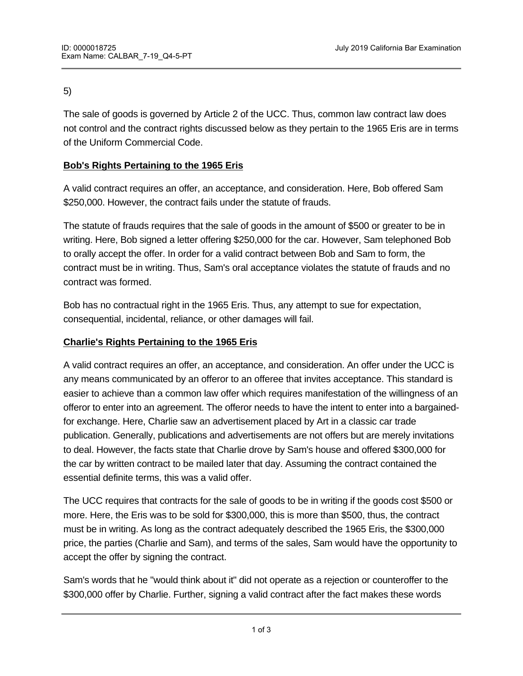### 5)

The sale of goods is governed by Article 2 of the UCC. Thus, common law contract law does not control and the contract rights discussed below as they pertain to the 1965 Eris are in terms of the Uniform Commercial Code.

# **Bob's Rights Pertaining to the 1965 Eris**

A valid contract requires an offer, an acceptance, and consideration. Here, Bob offered Sam \$250,000. However, the contract fails under the statute of frauds.

The statute of frauds requires that the sale of goods in the amount of \$500 or greater to be in writing. Here, Bob signed a letter offering \$250,000 for the car. However, Sam telephoned Bob to orally accept the offer. In order for a valid contract between Bob and Sam to form, the contract must be in writing. Thus, Sam's oral acceptance violates the statute of frauds and no contract was formed.

Bob has no contractual right in the 1965 Eris. Thus, any attempt to sue for expectation, consequential, incidental, reliance, or other damages will fail.

# **Charlie's Rights Pertaining to the 1965 Eris**

immaterial to the bargain.

A valid contract requires an offer, an acceptance, and consideration. An offer under the UCC is any means communicated by an offeror to an offeree that invites acceptance. This standard is easier to achieve than a common law offer which requires manifestation of the willingness of an offeror to enter into an agreement. The offeror needs to have the intent to enter into a bargainedfor exchange. Here, Charlie saw an advertisement placed by Art in a classic car trade publication. Generally, publications and advertisements are not offers but are merely invitations to deal. However, the facts state that Charlie drove by Sam's house and offered \$300,000 for the car by written contract to be mailed later that day. Assuming the contract contained the essential definite terms, this was a valid offer.

The UCC requires that contracts for the sale of goods to be in writing if the goods cost \$500 or more. Here, the Eris was to be sold for \$300,000, this is more than \$500, thus, the contract must be in writing. As long as the contract adequately described the 1965 Eris, the \$300,000 price, the parties (Charlie and Sam), and terms of the sales, Sam would have the opportunity to accept the offer by signing the contract.

Sam's words that he "would think about it" did not operate as a rejection or counteroffer to the \$300,000 offer by Charlie. Further, signing a valid contract after the fact makes these words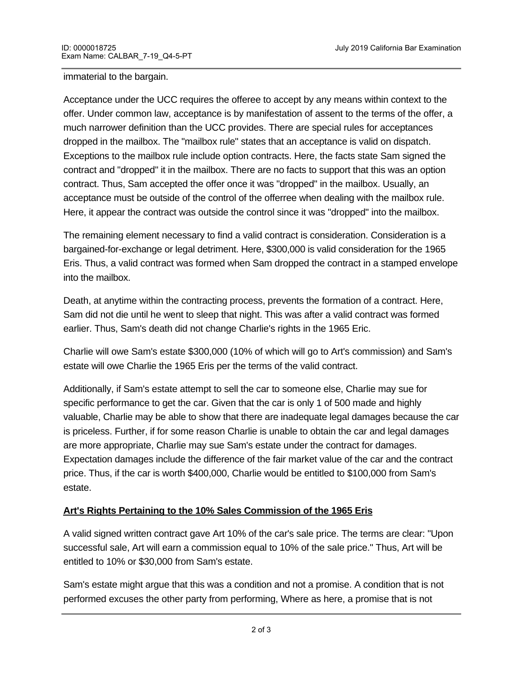#### immaterial to the bargain.

Acceptance under the UCC requires the offeree to accept by any means within context to the offer. Under common law, acceptance is by manifestation of assent to the terms of the offer, a much narrower definition than the UCC provides. There are special rules for acceptances dropped in the mailbox. The "mailbox rule" states that an acceptance is valid on dispatch. Exceptions to the mailbox rule include option contracts. Here, the facts state Sam signed the contract and "dropped" it in the mailbox. There are no facts to support that this was an option contract. Thus, Sam accepted the offer once it was "dropped" in the mailbox. Usually, an acceptance must be outside of the control of the offerree when dealing with the mailbox rule. Here, it appear the contract was outside the control since it was "dropped" into the mailbox.

The remaining element necessary to find a valid contract is consideration. Consideration is a bargained-for-exchange or legal detriment. Here, \$300,000 is valid consideration for the 1965 Eris. Thus, a valid contract was formed when Sam dropped the contract in a stamped envelope into the mailbox.

Death, at anytime within the contracting process, prevents the formation of a contract. Here, Sam did not die until he went to sleep that night. This was after a valid contract was formed earlier. Thus, Sam's death did not change Charlie's rights in the 1965 Eric.

Charlie will owe Sam's estate \$300,000 (10% of which will go to Art's commission) and Sam's estate will owe Charlie the 1965 Eris per the terms of the valid contract.

Additionally, if Sam's estate attempt to sell the car to someone else, Charlie may sue for specific performance to get the car. Given that the car is only 1 of 500 made and highly valuable, Charlie may be able to show that there are inadequate legal damages because the car is priceless. Further, if for some reason Charlie is unable to obtain the car and legal damages are more appropriate, Charlie may sue Sam's estate under the contract for damages. Expectation damages include the difference of the fair market value of the car and the contract price. Thus, if the car is worth \$400,000, Charlie would be entitled to \$100,000 from Sam's estate.

# **Art's Rights Pertaining to the 10% Sales Commission of the 1965 Eris**

A valid signed written contract gave Art 10% of the car's sale price. The terms are clear: "Upon successful sale, Art will earn a commission equal to 10% of the sale price." Thus, Art will be entitled to 10% or \$30,000 from Sam's estate.

Sam's estate might argue that this was a condition and not a promise. A condition that is not performed excuses the other party from performing, Where as here, a promise that is not

performed places the other party in breach. Art will argue that this contract was for a promise